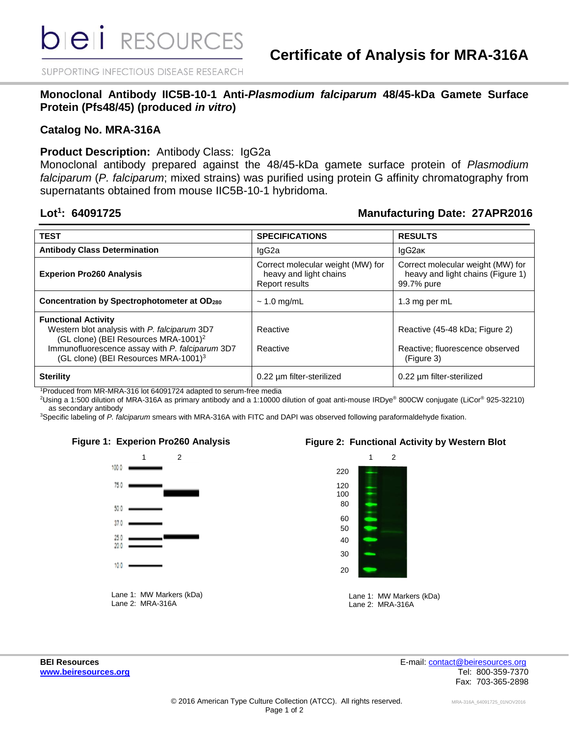SUPPORTING INFECTIOUS DISEASE RESEARCH

**Monoclonal Antibody IIC5B-10-1 Anti-***Plasmodium falciparum* **48/45-kDa Gamete Surface Protein (Pfs48/45) (produced** *in vitro***)**

### **Catalog No. MRA-316A**

### **Product Description:** Antibody Class: IgG2a

Monoclonal antibody prepared against the 48/45-kDa gamete surface protein of *Plasmodium falciparum* (*P. falciparum*; mixed strains) was purified using protein G affinity chromatography from supernatants obtained from mouse IIC5B-10-1 hybridoma.

### Lot<sup>1</sup>: 64091725

## **: 64091725 Manufacturing Date: 27APR2016**

| <b>TEST</b>                                                                                                                                                                                                                           | <b>SPECIFICATIONS</b>                                                         | <b>RESULTS</b>                                                                       |
|---------------------------------------------------------------------------------------------------------------------------------------------------------------------------------------------------------------------------------------|-------------------------------------------------------------------------------|--------------------------------------------------------------------------------------|
| <b>Antibody Class Determination</b>                                                                                                                                                                                                   | lgG2a                                                                         | IgG2ak                                                                               |
| <b>Experion Pro260 Analysis</b>                                                                                                                                                                                                       | Correct molecular weight (MW) for<br>heavy and light chains<br>Report results | Correct molecular weight (MW) for<br>heavy and light chains (Figure 1)<br>99.7% pure |
| <b>Concentration by Spectrophotometer at OD280</b>                                                                                                                                                                                    | $\sim$ 1.0 mg/mL                                                              | 1.3 mg per mL                                                                        |
| <b>Functional Activity</b><br>Western blot analysis with P. falciparum 3D7<br>(GL clone) (BEI Resources MRA-1001) <sup>2</sup><br>Immunofluorescence assay with P. falciparum 3D7<br>(GL clone) (BEI Resources MRA-1001) <sup>3</sup> | Reactive<br>Reactive                                                          | Reactive (45-48 kDa; Figure 2)<br>Reactive: fluorescence observed<br>(Figure 3)      |
| <b>Sterility</b>                                                                                                                                                                                                                      | 0.22 um filter-sterilized                                                     | 0.22 um filter-sterilized                                                            |

<sup>1</sup>Produced from MR-MRA-316 lot 64091724 adapted to serum-free media

<sup>2</sup>Using a 1:500 dilution of MRA-316A as primary antibody and a 1:10000 dilution of goat anti-mouse IRDye® 800CW conjugate (LiCor® 925-32210) as secondary antibody

<sup>3</sup>Specific labeling of *P. falciparum* smears with MRA-316A with FITC and DAPI was observed following paraformaldehyde fixation.



### **Figure 1: Experion Pro260 Analysis Figure 2: Functional Activity by Western Blot**



Lane 1: MW Markers (kDa) Lane 2: MRA-316A

**BEI Resources** E-mail: [contact@beiresources.org](mailto:contact@beiresources.org) **[www.beiresources.org](http://www.beiresources.org/)** Tel: 800-359-7370 Fax: 703-365-2898